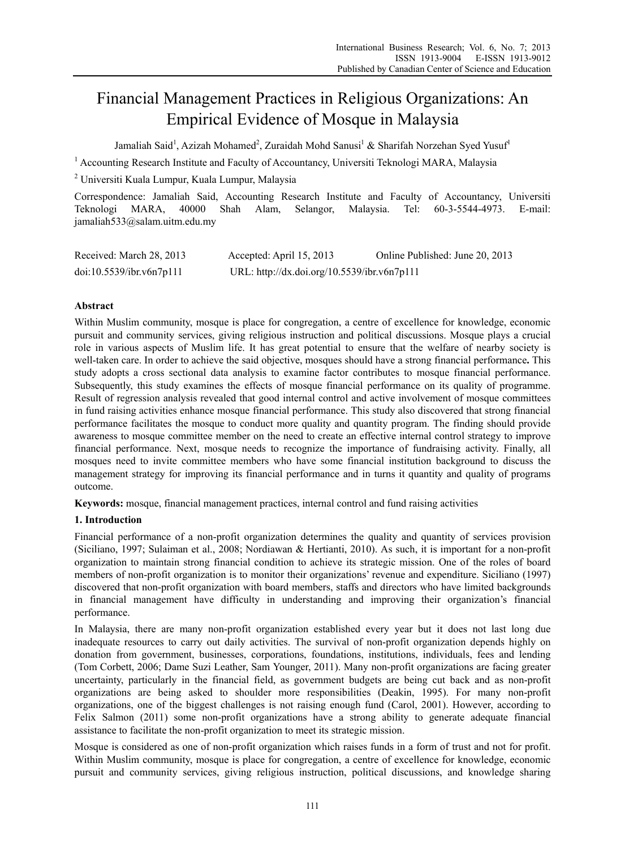# Financial Management Practices in Religious Organizations: An Empirical Evidence of Mosque in Malaysia

Jamaliah Said<sup>1</sup>, Azizah Mohamed<sup>2</sup>, Zuraidah Mohd Sanusi<sup>1</sup> & Sharifah Norzehan Syed Yusuf<sup>1</sup>

<sup>1</sup> Accounting Research Institute and Faculty of Accountancy, Universiti Teknologi MARA, Malaysia

<sup>2</sup> Universiti Kuala Lumpur, Kuala Lumpur, Malaysia

Correspondence: Jamaliah Said, Accounting Research Institute and Faculty of Accountancy, Universiti Teknologi MARA, 40000 Shah Alam, Selangor, Malaysia. Tel: 60-3-5544-4973. E-mail: jamaliah533@salam.uitm.edu.my

| Received: March 28, 2013 | Accepted: April 15, 2013                    | Online Published: June 20, 2013 |
|--------------------------|---------------------------------------------|---------------------------------|
| doi:10.5539/ibr.v6n7p111 | URL: http://dx.doi.org/10.5539/ibr.v6n7p111 |                                 |

# **Abstract**

Within Muslim community, mosque is place for congregation, a centre of excellence for knowledge, economic pursuit and community services, giving religious instruction and political discussions. Mosque plays a crucial role in various aspects of Muslim life. It has great potential to ensure that the welfare of nearby society is well-taken care. In order to achieve the said objective, mosques should have a strong financial performance**.** This study adopts a cross sectional data analysis to examine factor contributes to mosque financial performance. Subsequently, this study examines the effects of mosque financial performance on its quality of programme. Result of regression analysis revealed that good internal control and active involvement of mosque committees in fund raising activities enhance mosque financial performance. This study also discovered that strong financial performance facilitates the mosque to conduct more quality and quantity program. The finding should provide awareness to mosque committee member on the need to create an effective internal control strategy to improve financial performance. Next, mosque needs to recognize the importance of fundraising activity. Finally, all mosques need to invite committee members who have some financial institution background to discuss the management strategy for improving its financial performance and in turns it quantity and quality of programs outcome.

**Keywords:** mosque, financial management practices, internal control and fund raising activities

# **1. Introduction**

Financial performance of a non-profit organization determines the quality and quantity of services provision (Siciliano, 1997; Sulaiman et al., 2008; Nordiawan & Hertianti, 2010). As such, it is important for a non-profit organization to maintain strong financial condition to achieve its strategic mission. One of the roles of board members of non-profit organization is to monitor their organizations' revenue and expenditure. Siciliano (1997) discovered that non-profit organization with board members, staffs and directors who have limited backgrounds in financial management have difficulty in understanding and improving their organization's financial performance.

In Malaysia, there are many non-profit organization established every year but it does not last long due inadequate resources to carry out daily activities. The survival of non-profit organization depends highly on donation from government, businesses, corporations, foundations, institutions, individuals, fees and lending (Tom Corbett, 2006; Dame Suzi Leather, Sam Younger, 2011). Many non-profit organizations are facing greater uncertainty, particularly in the financial field, as government budgets are being cut back and as non-profit organizations are being asked to shoulder more responsibilities (Deakin, 1995). For many non-profit organizations, one of the biggest challenges is not raising enough fund (Carol, 2001). However, according to Felix Salmon (2011) some non-profit organizations have a strong ability to generate adequate financial assistance to facilitate the non-profit organization to meet its strategic mission.

Mosque is considered as one of non-profit organization which raises funds in a form of trust and not for profit. Within Muslim community, mosque is place for congregation, a centre of excellence for knowledge, economic pursuit and community services, giving religious instruction, political discussions, and knowledge sharing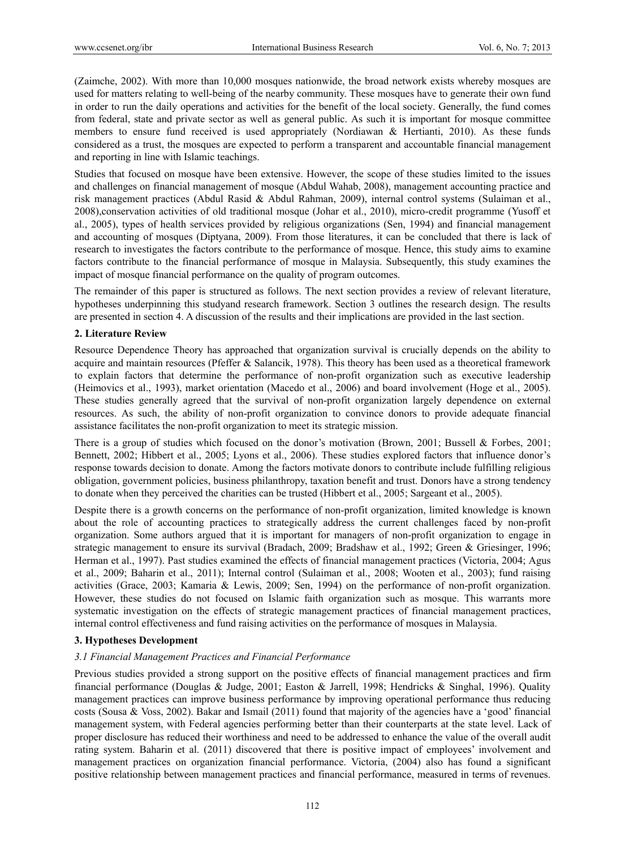(Zaimche, 2002). With more than 10,000 mosques nationwide, the broad network exists whereby mosques are used for matters relating to well-being of the nearby community. These mosques have to generate their own fund in order to run the daily operations and activities for the benefit of the local society. Generally, the fund comes from federal, state and private sector as well as general public. As such it is important for mosque committee members to ensure fund received is used appropriately (Nordiawan & Hertianti, 2010). As these funds considered as a trust, the mosques are expected to perform a transparent and accountable financial management and reporting in line with Islamic teachings.

Studies that focused on mosque have been extensive. However, the scope of these studies limited to the issues and challenges on financial management of mosque (Abdul Wahab, 2008), management accounting practice and risk management practices (Abdul Rasid & Abdul Rahman, 2009), internal control systems (Sulaiman et al., 2008),conservation activities of old traditional mosque (Johar et al., 2010), micro-credit programme (Yusoff et al., 2005), types of health services provided by religious organizations (Sen, 1994) and financial management and accounting of mosques (Diptyana, 2009). From those literatures, it can be concluded that there is lack of research to investigates the factors contribute to the performance of mosque. Hence, this study aims to examine factors contribute to the financial performance of mosque in Malaysia. Subsequently, this study examines the impact of mosque financial performance on the quality of program outcomes.

The remainder of this paper is structured as follows. The next section provides a review of relevant literature, hypotheses underpinning this studyand research framework. Section 3 outlines the research design. The results are presented in section 4. A discussion of the results and their implications are provided in the last section.

# **2. Literature Review**

Resource Dependence Theory has approached that organization survival is crucially depends on the ability to acquire and maintain resources (Pfeffer & Salancik, 1978). This theory has been used as a theoretical framework to explain factors that determine the performance of non-profit organization such as executive leadership (Heimovics et al., 1993), market orientation (Macedo et al., 2006) and board involvement (Hoge et al., 2005). These studies generally agreed that the survival of non-profit organization largely dependence on external resources. As such, the ability of non-profit organization to convince donors to provide adequate financial assistance facilitates the non-profit organization to meet its strategic mission.

There is a group of studies which focused on the donor's motivation (Brown, 2001; Bussell & Forbes, 2001; Bennett, 2002; Hibbert et al., 2005; Lyons et al., 2006). These studies explored factors that influence donor's response towards decision to donate. Among the factors motivate donors to contribute include fulfilling religious obligation, government policies, business philanthropy, taxation benefit and trust. Donors have a strong tendency to donate when they perceived the charities can be trusted (Hibbert et al., 2005; Sargeant et al., 2005).

Despite there is a growth concerns on the performance of non-profit organization, limited knowledge is known about the role of accounting practices to strategically address the current challenges faced by non-profit organization. Some authors argued that it is important for managers of non-profit organization to engage in strategic management to ensure its survival (Bradach, 2009; Bradshaw et al., 1992; Green & Griesinger, 1996; Herman et al., 1997). Past studies examined the effects of financial management practices (Victoria, 2004; Agus et al., 2009; Baharin et al., 2011); Internal control (Sulaiman et al., 2008; Wooten et al., 2003); fund raising activities (Grace, 2003; Kamaria & Lewis, 2009; Sen, 1994) on the performance of non-profit organization. However, these studies do not focused on Islamic faith organization such as mosque. This warrants more systematic investigation on the effects of strategic management practices of financial management practices, internal control effectiveness and fund raising activities on the performance of mosques in Malaysia.

# **3. Hypotheses Development**

# *3.1 Financial Management Practices and Financial Performance*

Previous studies provided a strong support on the positive effects of financial management practices and firm financial performance (Douglas & Judge, 2001; Easton & Jarrell, 1998; Hendricks & Singhal, 1996). Quality management practices can improve business performance by improving operational performance thus reducing costs (Sousa & Voss, 2002). Bakar and Ismail (2011) found that majority of the agencies have a 'good' financial management system, with Federal agencies performing better than their counterparts at the state level. Lack of proper disclosure has reduced their worthiness and need to be addressed to enhance the value of the overall audit rating system. Baharin et al. (2011) discovered that there is positive impact of employees' involvement and management practices on organization financial performance. Victoria, (2004) also has found a significant positive relationship between management practices and financial performance, measured in terms of revenues.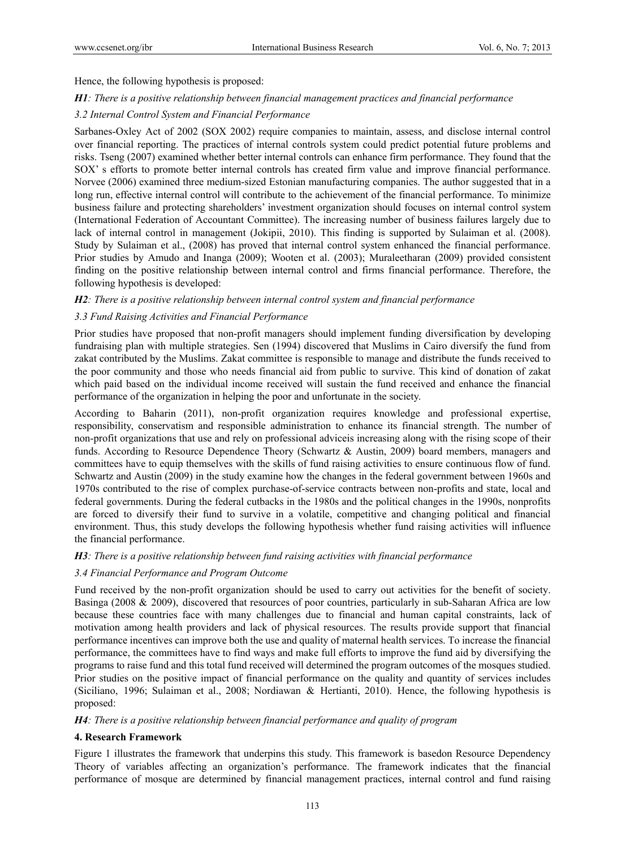Hence, the following hypothesis is proposed:

#### *H1: There is a positive relationship between financial management practices and financial performance*

#### *3.2 Internal Control System and Financial Performance*

Sarbanes-Oxley Act of 2002 (SOX 2002) require companies to maintain, assess, and disclose internal control over financial reporting. The practices of internal controls system could predict potential future problems and risks. Tseng (2007) examined whether better internal controls can enhance firm performance. They found that the SOX' s efforts to promote better internal controls has created firm value and improve financial performance. Norvee (2006) examined three medium-sized Estonian manufacturing companies. The author suggested that in a long run, effective internal control will contribute to the achievement of the financial performance. To minimize business failure and protecting shareholders' investment organization should focuses on internal control system (International Federation of Accountant Committee). The increasing number of business failures largely due to lack of internal control in management (Jokipii, 2010). This finding is supported by Sulaiman et al. (2008). Study by Sulaiman et al., (2008) has proved that internal control system enhanced the financial performance. Prior studies by Amudo and Inanga (2009); Wooten et al. (2003); Muraleetharan (2009) provided consistent finding on the positive relationship between internal control and firms financial performance. Therefore, the following hypothesis is developed:

# *H2: There is a positive relationship between internal control system and financial performance*

#### *3.3 Fund Raising Activities and Financial Performance*

Prior studies have proposed that non-profit managers should implement funding diversification by developing fundraising plan with multiple strategies. Sen (1994) discovered that Muslims in Cairo diversify the fund from zakat contributed by the Muslims. Zakat committee is responsible to manage and distribute the funds received to the poor community and those who needs financial aid from public to survive. This kind of donation of zakat which paid based on the individual income received will sustain the fund received and enhance the financial performance of the organization in helping the poor and unfortunate in the society.

According to Baharin (2011), non-profit organization requires knowledge and professional expertise, responsibility, conservatism and responsible administration to enhance its financial strength. The number of non-profit organizations that use and rely on professional adviceis increasing along with the rising scope of their funds. According to Resource Dependence Theory (Schwartz & Austin, 2009) board members, managers and committees have to equip themselves with the skills of fund raising activities to ensure continuous flow of fund. Schwartz and Austin (2009) in the study examine how the changes in the federal government between 1960s and 1970s contributed to the rise of complex purchase-of-service contracts between non-profits and state, local and federal governments. During the federal cutbacks in the 1980s and the political changes in the 1990s, nonprofits are forced to diversify their fund to survive in a volatile, competitive and changing political and financial environment. Thus, this study develops the following hypothesis whether fund raising activities will influence the financial performance.

# *H3: There is a positive relationship between fund raising activities with financial performance*

# *3.4 Financial Performance and Program Outcome*

Fund received by the non-profit organization should be used to carry out activities for the benefit of society. Basinga (2008 & 2009), discovered that resources of poor countries, particularly in sub-Saharan Africa are low because these countries face with many challenges due to financial and human capital constraints, lack of motivation among health providers and lack of physical resources. The results provide support that financial performance incentives can improve both the use and quality of maternal health services. To increase the financial performance, the committees have to find ways and make full efforts to improve the fund aid by diversifying the programs to raise fund and this total fund received will determined the program outcomes of the mosques studied. Prior studies on the positive impact of financial performance on the quality and quantity of services includes (Siciliano, 1996; Sulaiman et al., 2008; Nordiawan & Hertianti, 2010). Hence, the following hypothesis is proposed:

*H4: There is a positive relationship between financial performance and quality of program* 

# **4. Research Framework**

Figure 1 illustrates the framework that underpins this study. This framework is basedon Resource Dependency Theory of variables affecting an organization's performance. The framework indicates that the financial performance of mosque are determined by financial management practices, internal control and fund raising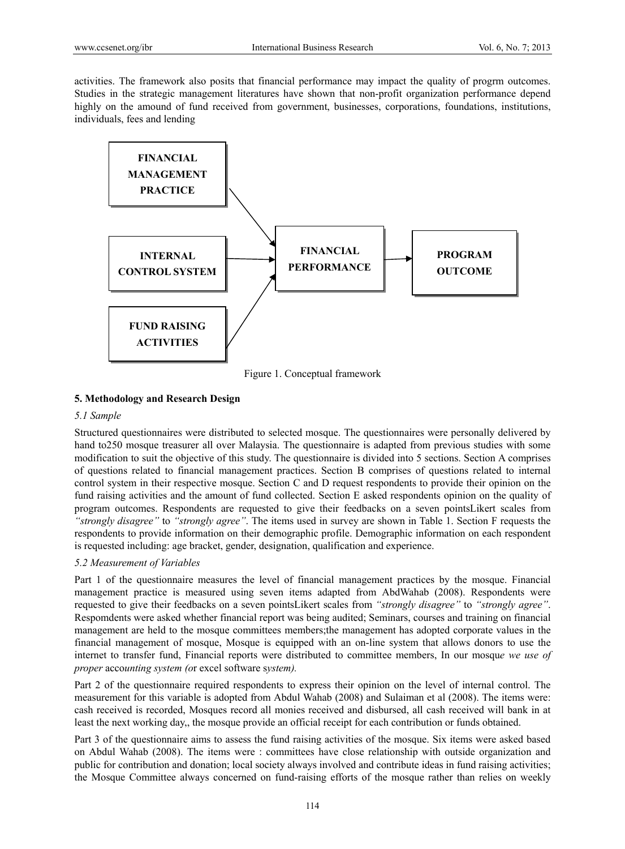activities. The framework also posits that financial performance may impact the quality of progrm outcomes. Studies in the strategic management literatures have shown that non-profit organization performance depend highly on the amound of fund received from government, businesses, corporations, foundations, institutions, individuals, fees and lending



Figure 1. Conceptual framework

# **5. Methodology and Research Design**

#### *5.1 Sample*

Structured questionnaires were distributed to selected mosque. The questionnaires were personally delivered by hand to250 mosque treasurer all over Malaysia. The questionnaire is adapted from previous studies with some modification to suit the objective of this study. The questionnaire is divided into 5 sections. Section A comprises of questions related to financial management practices. Section B comprises of questions related to internal control system in their respective mosque. Section C and D request respondents to provide their opinion on the fund raising activities and the amount of fund collected. Section E asked respondents opinion on the quality of program outcomes. Respondents are requested to give their feedbacks on a seven pointsLikert scales from *"strongly disagree"* to *"strongly agree"*. The items used in survey are shown in Table 1. Section F requests the respondents to provide information on their demographic profile. Demographic information on each respondent is requested including: age bracket, gender, designation, qualification and experience.

# *5.2 Measurement of Variables*

Part 1 of the questionnaire measures the level of financial management practices by the mosque. Financial management practice is measured using seven items adapted from AbdWahab (2008). Respondents were requested to give their feedbacks on a seven pointsLikert scales from *"strongly disagree"* to *"strongly agree"*. Respomdents were asked whether financial report was being audited; Seminars, courses and training on financial management are held to the mosque committees members;the management has adopted corporate values in the financial management of mosque, Mosque is equipped with an on-line system that allows donors to use the internet to transfer fund, Financial reports were distributed to committee members, In our mosqu*e we use of proper* acco*unting system (o*r excel software s*ystem).* 

Part 2 of the questionnaire required respondents to express their opinion on the level of internal control. The measurement for this variable is adopted from Abdul Wahab (2008) and Sulaiman et al (2008). The items were: cash received is recorded, Mosques record all monies received and disbursed, all cash received will bank in at least the next working day,, the mosque provide an official receipt for each contribution or funds obtained.

Part 3 of the questionnaire aims to assess the fund raising activities of the mosque. Six items were asked based on Abdul Wahab (2008). The items were : committees have close relationship with outside organization and public for contribution and donation; local society always involved and contribute ideas in fund raising activities; the Mosque Committee always concerned on fund-raising efforts of the mosque rather than relies on weekly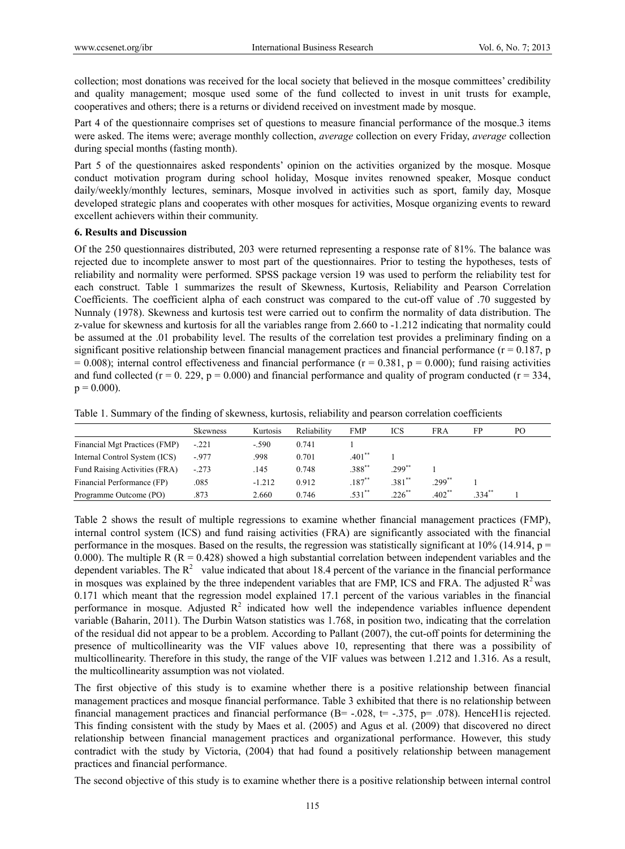collection; most donations was received for the local society that believed in the mosque committees' credibility and quality management; mosque used some of the fund collected to invest in unit trusts for example, cooperatives and others; there is a returns or dividend received on investment made by mosque.

Part 4 of the questionnaire comprises set of questions to measure financial performance of the mosque.3 items were asked. The items were; average monthly collection, *average* collection on every Friday, *average* collection during special months (fasting month).

Part 5 of the questionnaires asked respondents' opinion on the activities organized by the mosque. Mosque conduct motivation program during school holiday, Mosque invites renowned speaker, Mosque conduct daily/weekly/monthly lectures, seminars, Mosque involved in activities such as sport, family day, Mosque developed strategic plans and cooperates with other mosques for activities, Mosque organizing events to reward excellent achievers within their community.

# **6. Results and Discussion**

Of the 250 questionnaires distributed, 203 were returned representing a response rate of 81%. The balance was rejected due to incomplete answer to most part of the questionnaires. Prior to testing the hypotheses, tests of reliability and normality were performed. SPSS package version 19 was used to perform the reliability test for each construct. Table 1 summarizes the result of Skewness, Kurtosis, Reliability and Pearson Correlation Coefficients. The coefficient alpha of each construct was compared to the cut-off value of .70 suggested by Nunnaly (1978). Skewness and kurtosis test were carried out to confirm the normality of data distribution. The z-value for skewness and kurtosis for all the variables range from 2.660 to -1.212 indicating that normality could be assumed at the .01 probability level. The results of the correlation test provides a preliminary finding on a significant positive relationship between financial management practices and financial performance ( $r = 0.187$ , p  $= 0.008$ ); internal control effectiveness and financial performance (r = 0.381, p = 0.000); fund raising activities and fund collected ( $r = 0.229$ ,  $p = 0.000$ ) and financial performance and quality of program conducted ( $r = 334$ ,  $p = 0.000$ ).

Table 1. Summary of the finding of skewness, kurtosis, reliability and pearson correlation coefficients

|                               | <b>Skewness</b> | Kurtosis | Reliability | <b>FMP</b>  | ICS        | <b>FRA</b>           | FP                  | PО |
|-------------------------------|-----------------|----------|-------------|-------------|------------|----------------------|---------------------|----|
| Financial Mgt Practices (FMP) | $-.221$         | $-.590$  | 0.741       |             |            |                      |                     |    |
| Internal Control System (ICS) | $-977$          | .998     | 0.701       | $.401$ **   |            |                      |                     |    |
| Fund Raising Activities (FRA) | $-.273$         | 145      | 0.748       | $.388^{**}$ | $299^{**}$ |                      |                     |    |
| Financial Performance (FP)    | .085            | $-1.212$ | 0.912       | $.187**$    | $.381**$   | $299^{**}$           |                     |    |
| Programme Outcome (PO)        | .873            | 2.660    | 0.746       | $.531$ **   | $226$ **   | $.402$ <sup>**</sup> | $334$ <sup>**</sup> |    |

Table 2 shows the result of multiple regressions to examine whether financial management practices (FMP), internal control system (ICS) and fund raising activities (FRA) are significantly associated with the financial performance in the mosques. Based on the results, the regression was statistically significant at  $10\%$  (14.914, p = 0.000). The multiple R ( $R = 0.428$ ) showed a high substantial correlation between independent variables and the dependent variables. The  $R^2$  value indicated that about 18.4 percent of the variance in the financial performance in mosques was explained by the three independent variables that are FMP, ICS and FRA. The adjusted  $R^2$  was 0.171 which meant that the regression model explained 17.1 percent of the various variables in the financial performance in mosque. Adjusted  $\mathbb{R}^2$  indicated how well the independence variables influence dependent variable (Baharin, 2011). The Durbin Watson statistics was 1.768, in position two, indicating that the correlation of the residual did not appear to be a problem. According to Pallant (2007), the cut-off points for determining the presence of multicollinearity was the VIF values above 10, representing that there was a possibility of multicollinearity. Therefore in this study, the range of the VIF values was between 1.212 and 1.316. As a result, the multicollinearity assumption was not violated.

The first objective of this study is to examine whether there is a positive relationship between financial management practices and mosque financial performance. Table 3 exhibited that there is no relationship between financial management practices and financial performance  $(B = -0.028, t = -0.375, p = 0.078)$ . HenceH1is rejected. This finding consistent with the study by Maes et al. (2005) and Agus et al. (2009) that discovered no direct relationship between financial management practices and organizational performance. However, this study contradict with the study by Victoria, (2004) that had found a positively relationship between management practices and financial performance.

The second objective of this study is to examine whether there is a positive relationship between internal control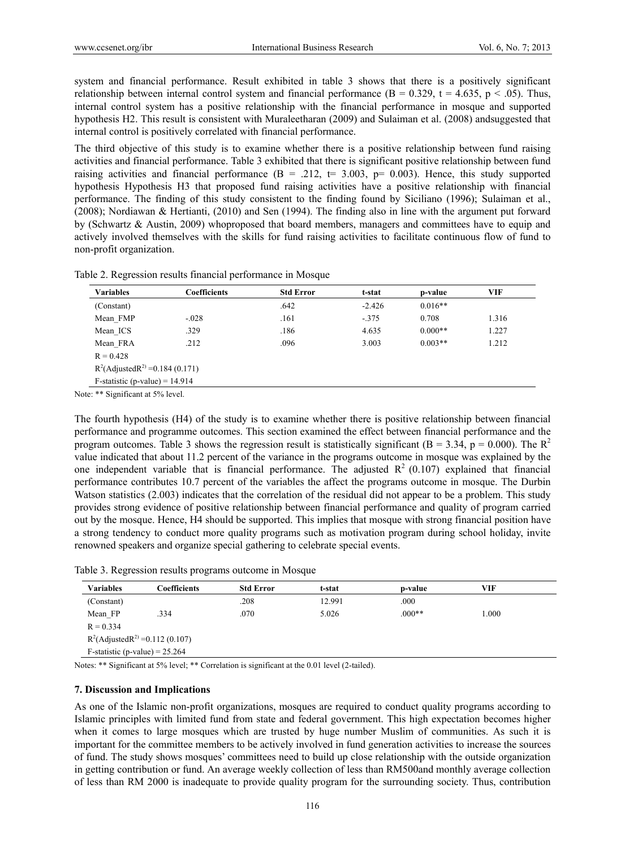system and financial performance. Result exhibited in table 3 shows that there is a positively significant relationship between internal control system and financial performance ( $B = 0.329$ ,  $t = 4.635$ ,  $p < .05$ ). Thus, internal control system has a positive relationship with the financial performance in mosque and supported hypothesis H2. This result is consistent with Muraleetharan (2009) and Sulaiman et al. (2008) andsuggested that internal control is positively correlated with financial performance.

The third objective of this study is to examine whether there is a positive relationship between fund raising activities and financial performance. Table 3 exhibited that there is significant positive relationship between fund raising activities and financial performance ( $B = .212$ ,  $t = 3.003$ ,  $p = 0.003$ ). Hence, this study supported hypothesis Hypothesis H3 that proposed fund raising activities have a positive relationship with financial performance. The finding of this study consistent to the finding found by Siciliano (1996); Sulaiman et al., (2008); Nordiawan & Hertianti, (2010) and Sen (1994). The finding also in line with the argument put forward by (Schwartz & Austin, 2009) whoproposed that board members, managers and committees have to equip and actively involved themselves with the skills for fund raising activities to facilitate continuous flow of fund to non-profit organization.

| Table 2. Regression results financial performance in Mosque |  |  |  |  |  |  |
|-------------------------------------------------------------|--|--|--|--|--|--|
|-------------------------------------------------------------|--|--|--|--|--|--|

| <b>Variables</b>                               | <b>Coefficients</b> | <b>Std Error</b> | t-stat   | p-value   | VIF   |
|------------------------------------------------|---------------------|------------------|----------|-----------|-------|
| (Constant)                                     |                     | .642             | $-2.426$ | $0.016**$ |       |
| Mean FMP                                       | $-.028$             | .161             | $-.375$  | 0.708     | 1.316 |
| Mean ICS                                       | .329                | .186             | 4.635    | $0.000**$ | 1.227 |
| Mean FRA                                       | .212                | .096             | 3.003    | $0.003**$ | 1.212 |
| $R = 0.428$                                    |                     |                  |          |           |       |
| $R^2$ (AdjustedR <sup>2)</sup> = 0.184 (0.171) |                     |                  |          |           |       |
| F-statistic (p-value) = $14.914$               |                     |                  |          |           |       |

Note: \*\* Significant at 5% level.

The fourth hypothesis (H4) of the study is to examine whether there is positive relationship between financial performance and programme outcomes. This section examined the effect between financial performance and the program outcomes. Table 3 shows the regression result is statistically significant ( $B = 3.34$ ,  $p = 0.000$ ). The  $R^2$ value indicated that about 11.2 percent of the variance in the programs outcome in mosque was explained by the one independent variable that is financial performance. The adjusted  $R^2$  (0.107) explained that financial performance contributes 10.7 percent of the variables the affect the programs outcome in mosque. The Durbin Watson statistics (2.003) indicates that the correlation of the residual did not appear to be a problem. This study provides strong evidence of positive relationship between financial performance and quality of program carried out by the mosque. Hence, H4 should be supported. This implies that mosque with strong financial position have a strong tendency to conduct more quality programs such as motivation program during school holiday, invite renowned speakers and organize special gathering to celebrate special events.

|  |  | Table 3. Regression results programs outcome in Mosque |
|--|--|--------------------------------------------------------|
|--|--|--------------------------------------------------------|

| Variables                                        | Coefficients | <b>Std Error</b> | t-stat | p-value  | VIF   |  |
|--------------------------------------------------|--------------|------------------|--------|----------|-------|--|
| (Constant)                                       |              | .208             | 12.991 | .000     |       |  |
| Mean FP                                          | .334         | .070             | 5.026  | $.000**$ | 1.000 |  |
| $R = 0.334$                                      |              |                  |        |          |       |  |
| $R^{2}$ (AdjustedR <sup>2)</sup> = 0.112 (0.107) |              |                  |        |          |       |  |
| F-statistic (p-value) = $25.264$                 |              |                  |        |          |       |  |

Notes: \*\* Significant at 5% level; \*\* Correlation is significant at the 0.01 level (2-tailed).

#### **7. Discussion and Implications**

As one of the Islamic non-profit organizations, mosques are required to conduct quality programs according to Islamic principles with limited fund from state and federal government. This high expectation becomes higher when it comes to large mosques which are trusted by huge number Muslim of communities. As such it is important for the committee members to be actively involved in fund generation activities to increase the sources of fund. The study shows mosques' committees need to build up close relationship with the outside organization in getting contribution or fund. An average weekly collection of less than RM500and monthly average collection of less than RM 2000 is inadequate to provide quality program for the surrounding society. Thus, contribution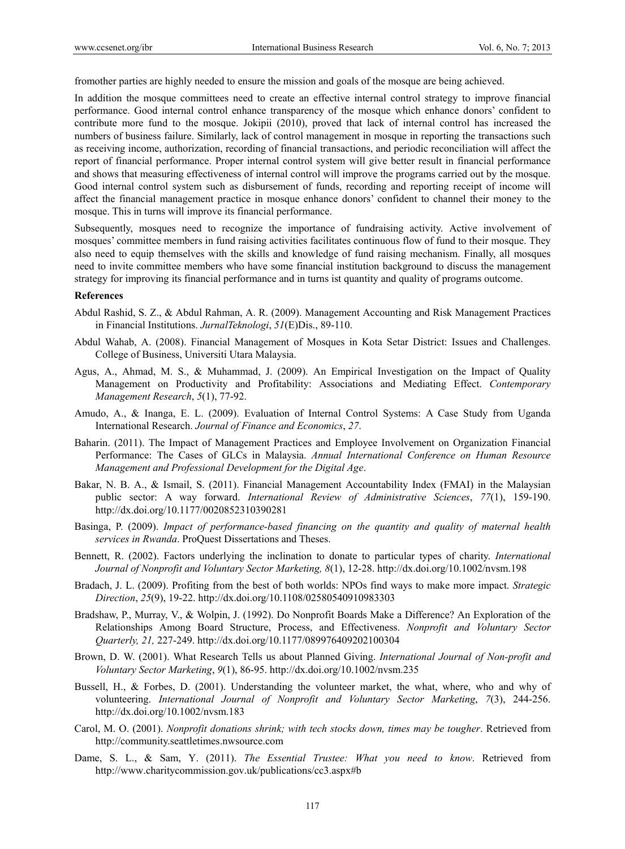fromother parties are highly needed to ensure the mission and goals of the mosque are being achieved.

In addition the mosque committees need to create an effective internal control strategy to improve financial performance. Good internal control enhance transparency of the mosque which enhance donors' confident to contribute more fund to the mosque. Jokipii (2010), proved that lack of internal control has increased the numbers of business failure. Similarly, lack of control management in mosque in reporting the transactions such as receiving income, authorization, recording of financial transactions, and periodic reconciliation will affect the report of financial performance. Proper internal control system will give better result in financial performance and shows that measuring effectiveness of internal control will improve the programs carried out by the mosque. Good internal control system such as disbursement of funds, recording and reporting receipt of income will affect the financial management practice in mosque enhance donors' confident to channel their money to the mosque. This in turns will improve its financial performance.

Subsequently, mosques need to recognize the importance of fundraising activity. Active involvement of mosques' committee members in fund raising activities facilitates continuous flow of fund to their mosque. They also need to equip themselves with the skills and knowledge of fund raising mechanism. Finally, all mosques need to invite committee members who have some financial institution background to discuss the management strategy for improving its financial performance and in turns ist quantity and quality of programs outcome.

#### **References**

- Abdul Rashid, S. Z., & Abdul Rahman, A. R. (2009). Management Accounting and Risk Management Practices in Financial Institutions. *JurnalTeknologi*, *51*(E)Dis., 89-110.
- Abdul Wahab, A. (2008). Financial Management of Mosques in Kota Setar District: Issues and Challenges. College of Business, Universiti Utara Malaysia.
- Agus, A., Ahmad, M. S., & Muhammad, J. (2009). An Empirical Investigation on the Impact of Quality Management on Productivity and Profitability: Associations and Mediating Effect. *Contemporary Management Research*, *5*(1), 77-92.
- Amudo, A., & Inanga, E. L. (2009). Evaluation of Internal Control Systems: A Case Study from Uganda International Research. *Journal of Finance and Economics*, *27*.
- Baharin. (2011). The Impact of Management Practices and Employee Involvement on Organization Financial Performance: The Cases of GLCs in Malaysia. *Annual International Conference on Human Resource Management and Professional Development for the Digital Age*.
- Bakar, N. B. A., & Ismail, S. (2011). Financial Management Accountability Index (FMAI) in the Malaysian public sector: A way forward. *International Review of Administrative Sciences*, *77*(1), 159-190. http://dx.doi.org/10.1177/0020852310390281
- Basinga, P. (2009). *Impact of performance-based financing on the quantity and quality of maternal health services in Rwanda*. ProQuest Dissertations and Theses.
- Bennett, R. (2002). Factors underlying the inclination to donate to particular types of charity. *International Journal of Nonprofit and Voluntary Sector Marketing, 8*(1), 12-28. http://dx.doi.org/10.1002/nvsm.198
- Bradach, J. L. (2009). Profiting from the best of both worlds: NPOs find ways to make more impact. *Strategic Direction*, *25*(9), 19-22. http://dx.doi.org/10.1108/02580540910983303
- Bradshaw, P., Murray, V., & Wolpin, J. (1992). Do Nonprofit Boards Make a Difference? An Exploration of the Relationships Among Board Structure, Process, and Effectiveness. *Nonprofit and Voluntary Sector Quarterly, 21,* 227-249. http://dx.doi.org/10.1177/089976409202100304
- Brown, D. W. (2001). What Research Tells us about Planned Giving. *International Journal of Non-profit and Voluntary Sector Marketing*, *9*(1), 86-95. http://dx.doi.org/10.1002/nvsm.235
- Bussell, H., & Forbes, D. (2001). Understanding the volunteer market, the what, where, who and why of volunteering. *International Journal of Nonprofit and Voluntary Sector Marketing*, *7*(3), 244-256. http://dx.doi.org/10.1002/nvsm.183
- Carol, M. O. (2001). *Nonprofit donations shrink; with tech stocks down, times may be tougher*. Retrieved from http://community.seattletimes.nwsource.com
- Dame, S. L., & Sam, Y. (2011). *The Essential Trustee: What you need to know*. Retrieved from http://www.charitycommission.gov.uk/publications/cc3.aspx#b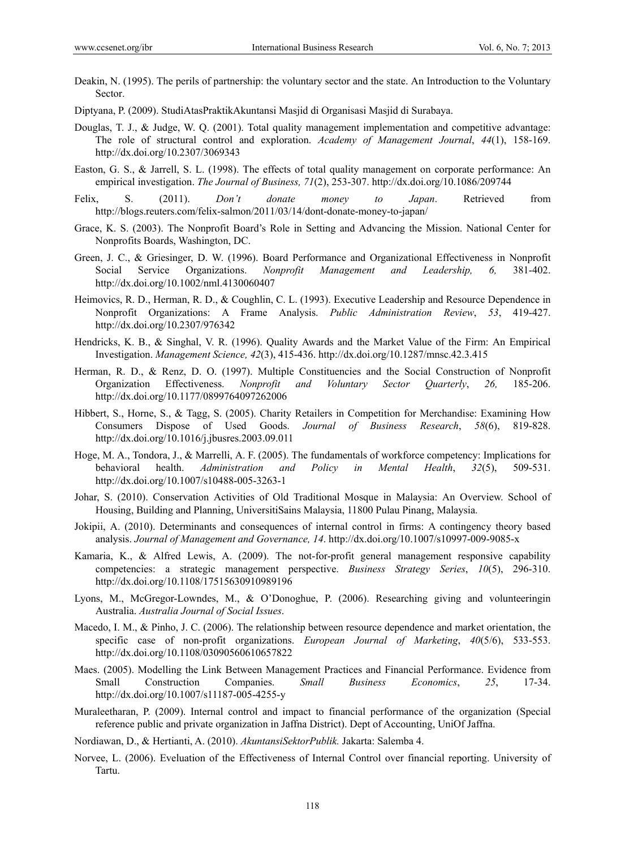- Deakin, N. (1995). The perils of partnership: the voluntary sector and the state. An Introduction to the Voluntary Sector.
- Diptyana, P. (2009). StudiAtasPraktikAkuntansi Masjid di Organisasi Masjid di Surabaya.
- Douglas, T. J., & Judge, W. O. (2001). Total quality management implementation and competitive advantage: The role of structural control and exploration. *Academy of Management Journal*, *44*(1), 158-169. http://dx.doi.org/10.2307/3069343
- Easton, G. S., & Jarrell, S. L. (1998). The effects of total quality management on corporate performance: An empirical investigation. *The Journal of Business, 71*(2), 253-307. http://dx.doi.org/10.1086/209744
- Felix, S. (2011). *Don't donate money to Japan*. Retrieved from http://blogs.reuters.com/felix-salmon/2011/03/14/dont-donate-money-to-japan/
- Grace, K. S. (2003). The Nonprofit Board's Role in Setting and Advancing the Mission. National Center for Nonprofits Boards, Washington, DC.
- Green, J. C., & Griesinger, D. W. (1996). Board Performance and Organizational Effectiveness in Nonprofit Social Service Organizations. *Nonprofit Management and Leadership, 6,* 381-402. http://dx.doi.org/10.1002/nml.4130060407
- Heimovics, R. D., Herman, R. D., & Coughlin, C. L. (1993). Executive Leadership and Resource Dependence in Nonprofit Organizations: A Frame Analysis. *Public Administration Review*, *53*, 419-427. http://dx.doi.org/10.2307/976342
- Hendricks, K. B., & Singhal, V. R. (1996). Quality Awards and the Market Value of the Firm: An Empirical Investigation. *Management Science, 42*(3), 415-436. http://dx.doi.org/10.1287/mnsc.42.3.415
- Herman, R. D., & Renz, D. O. (1997). Multiple Constituencies and the Social Construction of Nonprofit Organization Effectiveness. *Nonprofit and Voluntary Sector Quarterly*, *26,* 185-206. http://dx.doi.org/10.1177/0899764097262006
- Hibbert, S., Horne, S., & Tagg, S. (2005). Charity Retailers in Competition for Merchandise: Examining How Consumers Dispose of Used Goods. *Journal of Business Research*, *58*(6), 819-828. http://dx.doi.org/10.1016/j.jbusres.2003.09.011
- Hoge, M. A., Tondora, J., & Marrelli, A. F. (2005). The fundamentals of workforce competency: Implications for behavioral health. *Administration and Policy in Mental Health*, *32*(5), 509-531. http://dx.doi.org/10.1007/s10488-005-3263-1
- Johar, S. (2010). Conservation Activities of Old Traditional Mosque in Malaysia: An Overview. School of Housing, Building and Planning, UniversitiSains Malaysia, 11800 Pulau Pinang, Malaysia.
- Jokipii, A. (2010). Determinants and consequences of internal control in firms: A contingency theory based analysis. *Journal of Management and Governance, 14*. http://dx.doi.org/10.1007/s10997-009-9085-x
- Kamaria, K., & Alfred Lewis, A. (2009). The not-for-profit general management responsive capability competencies: a strategic management perspective. *Business Strategy Series*, *10*(5), 296-310. http://dx.doi.org/10.1108/17515630910989196
- Lyons, M., McGregor-Lowndes, M., & O'Donoghue, P. (2006). Researching giving and volunteeringin Australia. *Australia Journal of Social Issues*.
- Macedo, I. M., & Pinho, J. C. (2006). The relationship between resource dependence and market orientation, the specific case of non-profit organizations. *European Journal of Marketing*, *40*(5/6), 533-553. http://dx.doi.org/10.1108/03090560610657822
- Maes. (2005). Modelling the Link Between Management Practices and Financial Performance. Evidence from Small Construction Companies. *Small Business Economics*, *25*, 17-34. http://dx.doi.org/10.1007/s11187-005-4255-y
- Muraleetharan, P. (2009). Internal control and impact to financial performance of the organization (Special reference public and private organization in Jaffna District). Dept of Accounting, UniOf Jaffna.
- Nordiawan, D., & Hertianti, A. (2010). *AkuntansiSektorPublik.* Jakarta: Salemba 4.
- Norvee, L. (2006). Eveluation of the Effectiveness of Internal Control over financial reporting. University of Tartu.